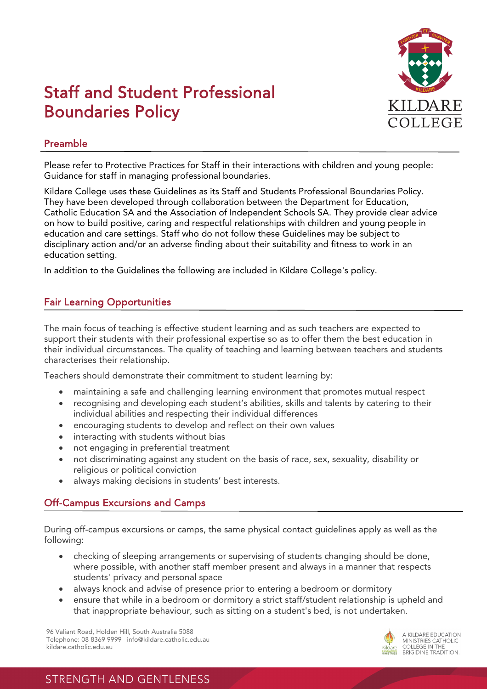

# Staff and Student Professional Boundaries Policy

### Preamble

Please refer to Protective Practices for Staff in their interactions with children and young people: Guidance for staff in managing professional boundaries.

Kildare College uses these Guidelines as its Staff and Students Professional Boundaries Policy. They have been developed through collaboration between the Department for Education, Catholic Education SA and the Association of Independent Schools SA. They provide clear advice on how to build positive, caring and respectful relationships with children and young people in education and care settings. Staff who do not follow these Guidelines may be subject to disciplinary action and/or an adverse finding about their suitability and fitness to work in an education setting.

In addition to the Guidelines the following are included in Kildare College's policy.

#### Fair Learning Opportunities

The main focus of teaching is effective student learning and as such teachers are expected to support their students with their professional expertise so as to offer them the best education in their individual circumstances. The quality of teaching and learning between teachers and students characterises their relationship.

Teachers should demonstrate their commitment to student learning by:

- maintaining a safe and challenging learning environment that promotes mutual respect
- recognising and developing each student's abilities, skills and talents by catering to their individual abilities and respecting their individual differences
- encouraging students to develop and reflect on their own values
- interacting with students without bias
- not engaging in preferential treatment
- not discriminating against any student on the basis of race, sex, sexuality, disability or religious or political conviction
- always making decisions in students' best interests.

#### Off-Campus Excursions and Camps

Ī

During off-campus excursions or camps, the same physical contact guidelines apply as well as the following:

- checking of sleeping arrangements or supervising of students changing should be done, where possible, with another staff member present and always in a manner that respects students' privacy and personal space
- always knock and advise of presence prior to entering a bedroom or dormitory
- ensure that while in a bedroom or dormitory a strict staff/student relationship is upheld and that inappropriate behaviour, such as sitting on a student's bed, is not undertaken.

96 Valiant Road, Holden Hill, South Australia 5088 Telephone: 08 8369 9999 info@kildare.catholic.edu.au kildare.catholic.edu.au



# **STRENGTH AND GENTLENESS**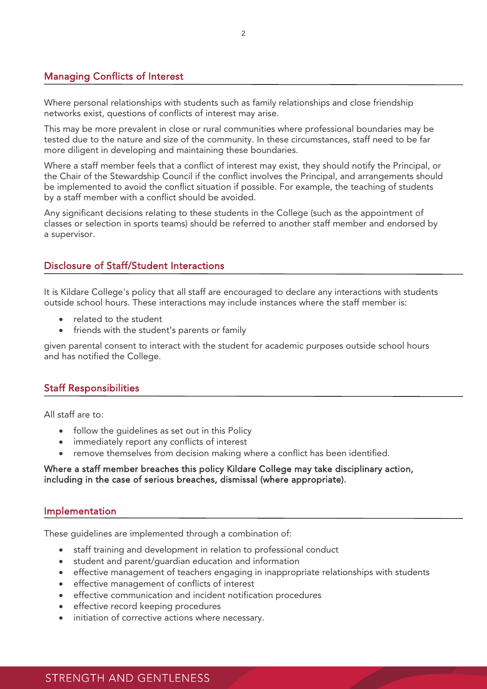#### Managing Conflicts of Interest

Ī

Ī

Ī

Where personal relationships with students such as family relationships and close friendship networks exist, questions of conflicts of interest may arise.

This may be more prevalent in close or rural communities where professional boundaries may be tested due to the nature and size of the community. In these circumstances, staff need to be far more diligent in developing and maintaining these boundaries.

Where a staff member feels that a conflict of interest may exist, they should notify the Principal, or the Chair of the Stewardship Council if the conflict involves the Principal, and arrangements should be implemented to avoid the conflict situation if possible. For example, the teaching of students by a staff member with a conflict should be avoided.

Any significant decisions relating to these students in the College (such as the appointment of classes or selection in sports teams) should be referred to another staff member and endorsed by a supervisor.

#### Disclosure of Staff/Student Interactions

It is Kildare College's policy that all staff are encouraged to declare any interactions with students outside school hours. These interactions may include instances where the staff member is:

- related to the student
- friends with the student's parents or family

given parental consent to interact with the student for academic purposes outside school hours and has notified the College.

#### Staff Responsibilities

All staff are to:

- follow the guidelines as set out in this Policy
- immediately report any conflicts of interest
- remove themselves from decision making where a conflict has been identified.

#### Where a staff member breaches this policy Kildare College may take disciplinary action, including in the case of serious breaches, dismissal (where appropriate).

#### Implementation

These guidelines are implemented through a combination of:

- staff training and development in relation to professional conduct
- student and parent/guardian education and information
- effective management of teachers engaging in inappropriate relationships with students
- effective management of conflicts of interest
- effective communication and incident notification procedures
- effective record keeping procedures
- initiation of corrective actions where necessary.

## STRENGTH AND GENTLENESS